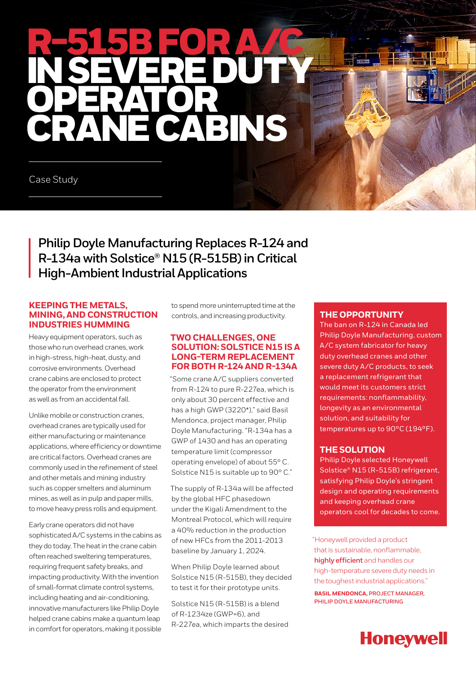# R-515B FOR A/C IN SEVEREDUTY OPERATOR **CARRICANS**

Case Study

**Philip Doyle Manufacturing Replaces R-124 and R-134a with Solstice® N15 (R-515B) in Critical High-Ambient Industrial Applications** 

#### **KEEPING THE METALS, MINING, AND CONSTRUCTION INDUSTRIES HUMMING**

Heavy equipment operators, such as those who run overhead cranes, work in high-stress, high-heat, dusty, and corrosive environments. Overhead crane cabins are enclosed to protect the operator from the environment as well as from an accidental fall.

Unlike mobile or construction cranes, overhead cranes are typically used for either manufacturing or maintenance applications, where efficiency or downtime are critical factors. Overhead cranes are commonly used in the refinement of steel and other metals and mining industry such as copper smelters and aluminum mines, as well as in pulp and paper mills, to move heavy press rolls and equipment.

Early crane operators did not have sophisticated A/C systems in the cabins as they do today. The heat in the crane cabin often reached sweltering temperatures, requiring frequent safety breaks, and impacting productivity. With the invention of small-format climate control systems, including heating and air-conditioning, innovative manufacturers like Philip Doyle helped crane cabins make a quantum leap in comfort for operators, making it possible

to spend more uninterrupted time at the controls, and increasing productivity.

#### **TWO CHALLENGES, ONE SOLUTION: SOLSTICE N15 IS A LONG-TERM REPLACEMENT FOR BOTH R-124 AND R-134A**

"Some crane A/C suppliers converted from R-124 to pure R-227ea, which is only about 30 percent effective and has a high GWP (3220\*)," said Basil Mendonca, project manager, Philip Doyle Manufacturing. "R-134a has a GWP of 1430 and has an operating temperature limit (compressor operating envelope) of about 55° C. Solstice N15 is suitable up to 90° C."

The supply of R-134a will be affected by the global HFC phasedown under the Kigali Amendment to the Montreal Protocol, which will require a 40% reduction in the production of new HFCs from the 2011-2013 baseline by January 1, 2024.

When Philip Doyle learned about Solstice N15 (R-515B), they decided to test it for their prototype units.

Solstice N15 (R-515B) is a blend of R-1234ze (GWP=6), and R-227ea, which imparts the desired

### **THE OPPORTUNITY**

The ban on R-124 in Canada led Philip Doyle Manufacturing, custom A/C system fabricator for heavy duty overhead cranes and other severe duty A/C products, to seek a replacement refrigerant that would meet its customers strict requirements: nonflammability, longevity as an environmental solution, and suitability for temperatures up to 90°C (194°F).

## **THE SOLUTION**

Philip Doyle selected Honeywell Solstice® N15 (R-515B) refrigerant, satisfying Philip Doyle's stringent design and operating requirements and keeping overhead crane operators cool for decades to come.

"Honeywell provided a product that is sustainable, nonflammable, **highly efficient** and handles our high-temperature severe duty needs in the toughest industrial applications."

**BASIL MENDONCA, PROJECT MANAGER, PHILIP DOYLE MANUFACTURING**